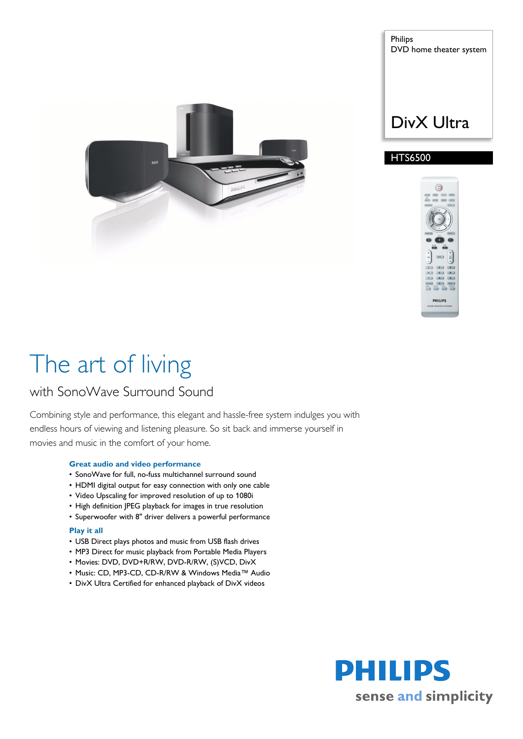

Philips DVD home theater system

# DivX Ultra

# HTS6500



# The art of living

# with SonoWave Surround Sound

Combining style and performance, this elegant and hassle-free system indulges you with endless hours of viewing and listening pleasure. So sit back and immerse yourself in movies and music in the comfort of your home.

# **Great audio and video performance**

- SonoWave for full, no-fuss multichannel surround sound
- HDMI digital output for easy connection with only one cable
- Video Upscaling for improved resolution of up to 1080i
- High definition JPEG playback for images in true resolution
- Superwoofer with 8" driver delivers a powerful performance

# **Play it all**

- USB Direct plays photos and music from USB flash drives
- MP3 Direct for music playback from Portable Media Players
- Movies: DVD, DVD+R/RW, DVD-R/RW, (S)VCD, DivX
- Music: CD, MP3-CD, CD-R/RW & Windows Media™ Audio
- DivX Ultra Certified for enhanced playback of DivX videos

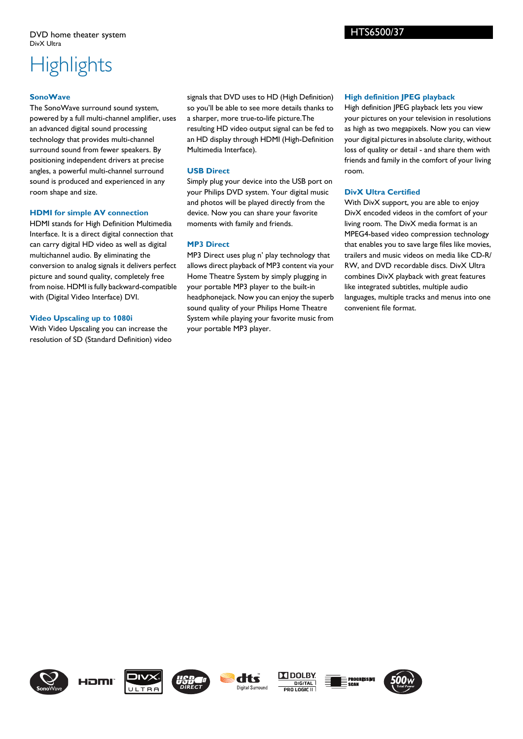# **Highlights**

### **SonoWave**

The SonoWave surround sound system, powered by a full multi-channel amplifier, uses an advanced digital sound processing technology that provides multi-channel surround sound from fewer speakers. By positioning independent drivers at precise angles, a powerful multi-channel surround sound is produced and experienced in any room shape and size.

### **HDMI for simple AV connection**

HDMI stands for High Definition Multimedia Interface. It is a direct digital connection that can carry digital HD video as well as digital multichannel audio. By eliminating the conversion to analog signals it delivers perfect picture and sound quality, completely free from noise. HDMI is fully backward-compatible with (Digital Video Interface) DVI.

### **Video Upscaling up to 1080i**

With Video Upscaling you can increase the resolution of SD (Standard Definition) video

signals that DVD uses to HD (High Definition) so you'll be able to see more details thanks to a sharper, more true-to-life picture.The resulting HD video output signal can be fed to an HD display through HDMI (High-Definition Multimedia Interface).

# **USB Direct**

Simply plug your device into the USB port on your Philips DVD system. Your digital music and photos will be played directly from the device. Now you can share your favorite moments with family and friends.

# **MP3 Direct**

MP3 Direct uses plug n' play technology that allows direct playback of MP3 content via your Home Theatre System by simply plugging in your portable MP3 player to the built-in headphonejack. Now you can enjoy the superb sound quality of your Philips Home Theatre System while playing your favorite music from your portable MP3 player.

## **High definition JPEG playback**

High definition JPEG playback lets you view your pictures on your television in resolutions as high as two megapixels. Now you can view your digital pictures in absolute clarity, without loss of quality or detail - and share them with friends and family in the comfort of your living room.

# **DivX Ultra Certified**

With DivX support, you are able to enjoy DivX encoded videos in the comfort of your living room. The DivX media format is an MPEG4-based video compression technology that enables you to save large files like movies, trailers and music videos on media like CD-R/ RW, and DVD recordable discs. DivX Ultra combines DivX playback with great features like integrated subtitles, multiple audio languages, multiple tracks and menus into one convenient file format.